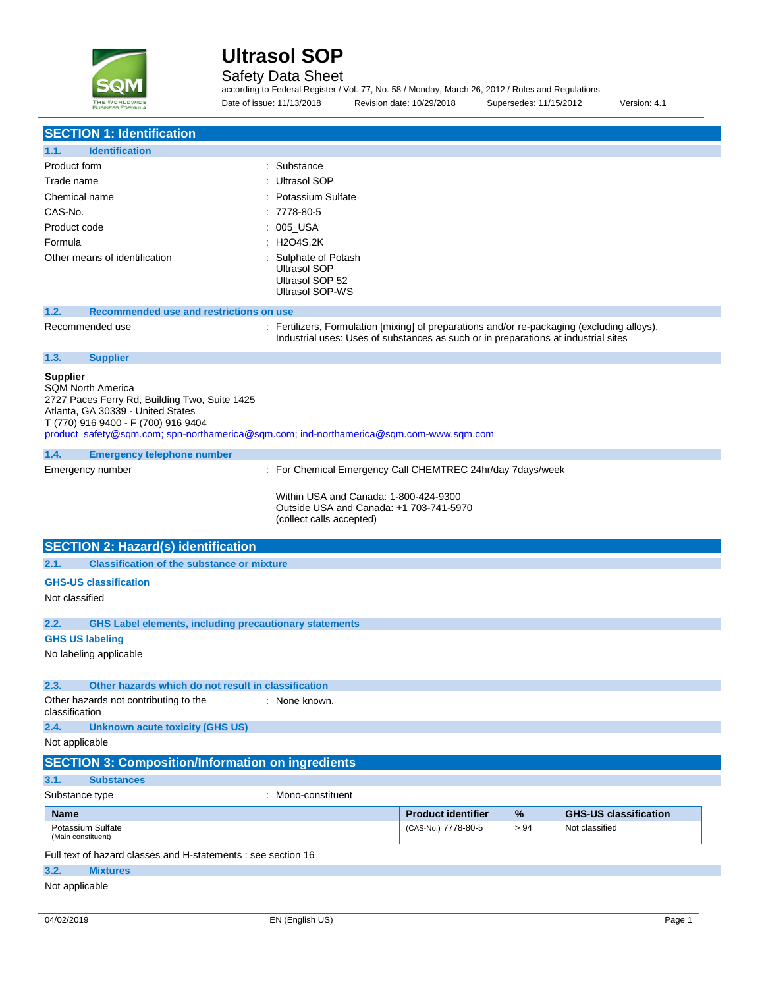

J.

# **Ultrasol SOP**

### Safety Data Sheet

according to Federal Register / Vol. 77, No. 58 / Monday, March 26, 2012 / Rules and Regulations Date of issue: 11/13/2018 Revision date: 10/29/2018 Supersedes: 11/15/2012 Version: 4.1

| <b>SECTION 1: Identification</b>                                                                                                                                                                                                                                   |                                                                                                                                                                                   |                           |      |                              |
|--------------------------------------------------------------------------------------------------------------------------------------------------------------------------------------------------------------------------------------------------------------------|-----------------------------------------------------------------------------------------------------------------------------------------------------------------------------------|---------------------------|------|------------------------------|
| <b>Identification</b><br>1.1.                                                                                                                                                                                                                                      |                                                                                                                                                                                   |                           |      |                              |
| Product form                                                                                                                                                                                                                                                       | : Substance                                                                                                                                                                       |                           |      |                              |
| Trade name                                                                                                                                                                                                                                                         | <b>Ultrasol SOP</b>                                                                                                                                                               |                           |      |                              |
| Chemical name                                                                                                                                                                                                                                                      | Potassium Sulfate                                                                                                                                                                 |                           |      |                              |
| CAS-No.                                                                                                                                                                                                                                                            | 7778-80-5                                                                                                                                                                         |                           |      |                              |
| Product code                                                                                                                                                                                                                                                       | : 005_USA                                                                                                                                                                         |                           |      |                              |
| Formula                                                                                                                                                                                                                                                            | : H2O4S.2K                                                                                                                                                                        |                           |      |                              |
| Other means of identification                                                                                                                                                                                                                                      | Sulphate of Potash<br><b>Ultrasol SOP</b><br>Ultrasol SOP 52<br><b>Ultrasol SOP-WS</b>                                                                                            |                           |      |                              |
| Recommended use and restrictions on use<br>1.2.                                                                                                                                                                                                                    |                                                                                                                                                                                   |                           |      |                              |
| Recommended use                                                                                                                                                                                                                                                    | : Fertilizers, Formulation [mixing] of preparations and/or re-packaging (excluding alloys),<br>Industrial uses: Uses of substances as such or in preparations at industrial sites |                           |      |                              |
| 1.3.<br><b>Supplier</b>                                                                                                                                                                                                                                            |                                                                                                                                                                                   |                           |      |                              |
| <b>Supplier</b><br><b>SQM North America</b><br>2727 Paces Ferry Rd, Building Two, Suite 1425<br>Atlanta, GA 30339 - United States<br>T (770) 916 9400 - F (700) 916 9404<br>product_safety@sqm.com; spn-northamerica@sqm.com; ind-northamerica@sqm.com-www.sqm.com |                                                                                                                                                                                   |                           |      |                              |
| 1.4.<br><b>Emergency telephone number</b>                                                                                                                                                                                                                          |                                                                                                                                                                                   |                           |      |                              |
| Emergency number                                                                                                                                                                                                                                                   | : For Chemical Emergency Call CHEMTREC 24hr/day 7days/week                                                                                                                        |                           |      |                              |
| <b>SECTION 2: Hazard(s) identification</b>                                                                                                                                                                                                                         | Within USA and Canada: 1-800-424-9300<br>Outside USA and Canada: +1 703-741-5970<br>(collect calls accepted)                                                                      |                           |      |                              |
| <b>Classification of the substance or mixture</b><br>2.1.                                                                                                                                                                                                          |                                                                                                                                                                                   |                           |      |                              |
|                                                                                                                                                                                                                                                                    |                                                                                                                                                                                   |                           |      |                              |
| <b>GHS-US classification</b><br>Not classified                                                                                                                                                                                                                     |                                                                                                                                                                                   |                           |      |                              |
| 2.2.<br><b>GHS Label elements, including precautionary statements</b>                                                                                                                                                                                              |                                                                                                                                                                                   |                           |      |                              |
| <b>GHS US labeling</b>                                                                                                                                                                                                                                             |                                                                                                                                                                                   |                           |      |                              |
| No labeling applicable                                                                                                                                                                                                                                             |                                                                                                                                                                                   |                           |      |                              |
| 2.3.<br>Other hazards which do not result in classification                                                                                                                                                                                                        |                                                                                                                                                                                   |                           |      |                              |
| Other hazards not contributing to the<br>classification                                                                                                                                                                                                            | : None known.                                                                                                                                                                     |                           |      |                              |
| <b>Unknown acute toxicity (GHS US)</b><br>2.4.                                                                                                                                                                                                                     |                                                                                                                                                                                   |                           |      |                              |
| Not applicable                                                                                                                                                                                                                                                     |                                                                                                                                                                                   |                           |      |                              |
| <b>SECTION 3: Composition/Information on ingredients</b>                                                                                                                                                                                                           |                                                                                                                                                                                   |                           |      |                              |
| 3.1.<br><b>Substances</b>                                                                                                                                                                                                                                          |                                                                                                                                                                                   |                           |      |                              |
| Substance type                                                                                                                                                                                                                                                     | : Mono-constituent                                                                                                                                                                |                           |      |                              |
| <b>Name</b>                                                                                                                                                                                                                                                        |                                                                                                                                                                                   | <b>Product identifier</b> | $\%$ | <b>GHS-US classification</b> |
| Potassium Sulfate<br>(Main constituent)                                                                                                                                                                                                                            |                                                                                                                                                                                   | (CAS-No.) 7778-80-5       | > 94 | Not classified               |
| Full text of hazard classes and H-statements : see section 16                                                                                                                                                                                                      |                                                                                                                                                                                   |                           |      |                              |
| 3.2.<br><b>Mixtures</b>                                                                                                                                                                                                                                            |                                                                                                                                                                                   |                           |      |                              |
| Not applicable                                                                                                                                                                                                                                                     |                                                                                                                                                                                   |                           |      |                              |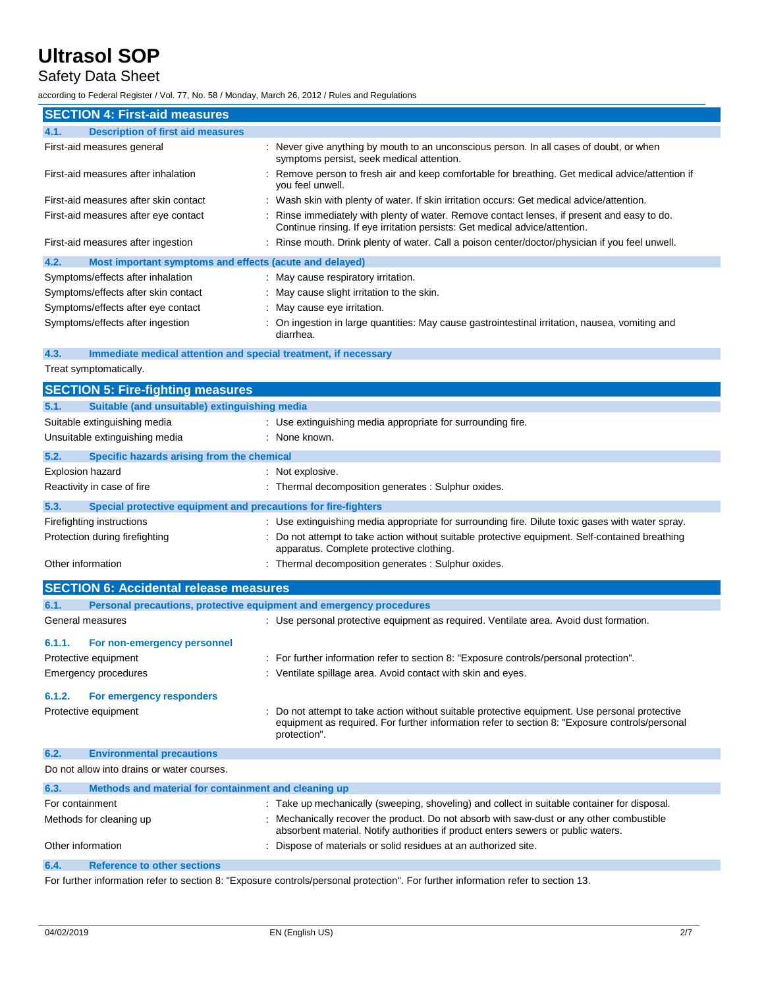## Safety Data Sheet

according to Federal Register / Vol. 77, No. 58 / Monday, March 26, 2012 / Rules and Regulations

| <b>SECTION 4: First-aid measures</b>                            |                                                                                                                                                                            |
|-----------------------------------------------------------------|----------------------------------------------------------------------------------------------------------------------------------------------------------------------------|
| 4.1.<br><b>Description of first aid measures</b>                |                                                                                                                                                                            |
| First-aid measures general                                      | : Never give anything by mouth to an unconscious person. In all cases of doubt, or when<br>symptoms persist, seek medical attention.                                       |
| First-aid measures after inhalation                             | : Remove person to fresh air and keep comfortable for breathing. Get medical advice/attention if<br>you feel unwell.                                                       |
| First-aid measures after skin contact                           | : Wash skin with plenty of water. If skin irritation occurs: Get medical advice/attention.                                                                                 |
| First-aid measures after eye contact                            | : Rinse immediately with plenty of water. Remove contact lenses, if present and easy to do.<br>Continue rinsing. If eye irritation persists: Get medical advice/attention. |
| First-aid measures after ingestion                              | : Rinse mouth. Drink plenty of water. Call a poison center/doctor/physician if you feel unwell.                                                                            |
| Most important symptoms and effects (acute and delayed)<br>4.2. |                                                                                                                                                                            |
| Symptoms/effects after inhalation                               | : May cause respiratory irritation.                                                                                                                                        |
| Symptoms/effects after skin contact                             | : May cause slight irritation to the skin.                                                                                                                                 |
| Symptoms/effects after eye contact                              | : May cause eye irritation.                                                                                                                                                |
| Symptoms/effects after ingestion                                | : On ingestion in large quantities: May cause gastrointestinal irritation, nausea, vomiting and                                                                            |

## **4.3. Immediate medical attention and special treatment, if necessary**

diarrhea.

Treat symptomatically.

|                   | <b>SECTION 5: Fire-fighting measures</b>                            |                                                                                                                                                                                                                |
|-------------------|---------------------------------------------------------------------|----------------------------------------------------------------------------------------------------------------------------------------------------------------------------------------------------------------|
| 5.1.              | Suitable (and unsuitable) extinguishing media                       |                                                                                                                                                                                                                |
|                   | Suitable extinguishing media                                        | : Use extinguishing media appropriate for surrounding fire.                                                                                                                                                    |
|                   | Unsuitable extinguishing media                                      | : None known.                                                                                                                                                                                                  |
| 5.2.              | Specific hazards arising from the chemical                          |                                                                                                                                                                                                                |
| Explosion hazard  |                                                                     | : Not explosive.                                                                                                                                                                                               |
|                   | Reactivity in case of fire                                          | : Thermal decomposition generates : Sulphur oxides.                                                                                                                                                            |
| 5.3.              | Special protective equipment and precautions for fire-fighters      |                                                                                                                                                                                                                |
|                   | Firefighting instructions                                           | : Use extinguishing media appropriate for surrounding fire. Dilute toxic gases with water spray.                                                                                                               |
|                   | Protection during firefighting                                      | Do not attempt to take action without suitable protective equipment. Self-contained breathing<br>apparatus. Complete protective clothing.                                                                      |
| Other information |                                                                     | : Thermal decomposition generates : Sulphur oxides.                                                                                                                                                            |
|                   | <b>SECTION 6: Accidental release measures</b>                       |                                                                                                                                                                                                                |
| 6.1.              | Personal precautions, protective equipment and emergency procedures |                                                                                                                                                                                                                |
|                   | General measures                                                    | : Use personal protective equipment as required. Ventilate area. Avoid dust formation.                                                                                                                         |
| 6.1.1.            | For non-emergency personnel                                         |                                                                                                                                                                                                                |
|                   | Protective equipment                                                | : For further information refer to section 8: "Exposure controls/personal protection".                                                                                                                         |
|                   | <b>Emergency procedures</b>                                         | : Ventilate spillage area. Avoid contact with skin and eyes.                                                                                                                                                   |
| 6.1.2.            | For emergency responders                                            |                                                                                                                                                                                                                |
|                   | Protective equipment                                                | Do not attempt to take action without suitable protective equipment. Use personal protective<br>equipment as required. For further information refer to section 8: "Exposure controls/personal<br>protection". |
| 6.2.              | <b>Environmental precautions</b>                                    |                                                                                                                                                                                                                |
|                   | Do not allow into drains or water courses.                          |                                                                                                                                                                                                                |
| 6.3.              | Methods and material for containment and cleaning up                |                                                                                                                                                                                                                |

| For containment         |                                    | : Take up mechanically (sweeping, shoveling) and collect in suitable container for disposal.                                                                                |
|-------------------------|------------------------------------|-----------------------------------------------------------------------------------------------------------------------------------------------------------------------------|
| Methods for cleaning up |                                    | Mechanically recover the product. Do not absorb with saw-dust or any other combustible<br>absorbent material. Notify authorities if product enters sewers or public waters. |
| Other information       |                                    | : Dispose of materials or solid residues at an authorized site.                                                                                                             |
| 6.4.                    | <b>Reference to other sections</b> |                                                                                                                                                                             |

For further information refer to section 8: "Exposure controls/personal protection". For further information refer to section 13.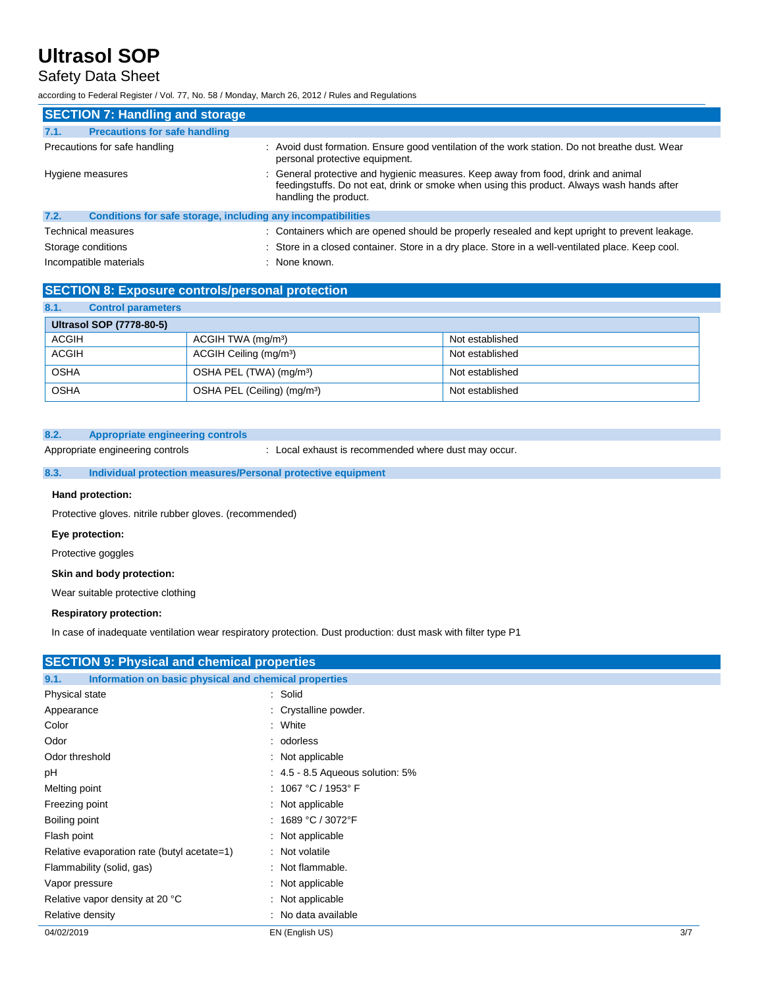## Safety Data Sheet

according to Federal Register / Vol. 77, No. 58 / Monday, March 26, 2012 / Rules and Regulations

| <b>SECTION 7: Handling and storage</b>       |                                                                                                                                                                                                          |
|----------------------------------------------|----------------------------------------------------------------------------------------------------------------------------------------------------------------------------------------------------------|
| <b>Precautions for safe handling</b><br>7.1. |                                                                                                                                                                                                          |
| Precautions for safe handling                | : Avoid dust formation. Ensure good ventilation of the work station. Do not breathe dust. Wear<br>personal protective equipment.                                                                         |
| Hygiene measures                             | : General protective and hygienic measures. Keep away from food, drink and animal<br>feedingstuffs. Do not eat, drink or smoke when using this product. Always wash hands after<br>handling the product. |
| 7.2.                                         | Conditions for safe storage, including any incompatibilities                                                                                                                                             |
| <b>Technical measures</b>                    | : Containers which are opened should be properly resealed and kept upright to prevent leakage.                                                                                                           |
| Storage conditions                           | : Store in a closed container. Store in a dry place. Store in a well-ventilated place. Keep cool.                                                                                                        |
| Incompatible materials                       | : None known.                                                                                                                                                                                            |

### **SECTION 8: Exposure controls/personal protection**

| 8.1.         | <b>Control parameters</b> |                                         |                 |
|--------------|---------------------------|-----------------------------------------|-----------------|
|              | Ultrasol SOP (7778-80-5)  |                                         |                 |
| ACGIH        |                           | ACGIH TWA (mg/m <sup>3</sup> )          | Not established |
| <b>ACGIH</b> |                           | ACGIH Ceiling (mg/m <sup>3</sup> )      | Not established |
| <b>OSHA</b>  |                           | OSHA PEL (TWA) (mg/m <sup>3</sup> )     | Not established |
| <b>OSHA</b>  |                           | OSHA PEL (Ceiling) (mg/m <sup>3</sup> ) | Not established |

### **8.2. Appropriate engineering controls**

Appropriate engineering controls : Local exhaust is recommended where dust may occur.

### **8.3. Individual protection measures/Personal protective equipment**

### **Hand protection:**

Protective gloves. nitrile rubber gloves. (recommended)

### **Eye protection:**

Protective goggles

#### **Skin and body protection:**

Wear suitable protective clothing

#### **Respiratory protection:**

In case of inadequate ventilation wear respiratory protection. Dust production: dust mask with filter type P1

| Information on basic physical and chemical properties |                                                    |
|-------------------------------------------------------|----------------------------------------------------|
| : Solid                                               |                                                    |
| : Crystalline powder.                                 |                                                    |
| : White                                               |                                                    |
| : odorless                                            |                                                    |
| : Not applicable                                      |                                                    |
| $\therefore$ 4.5 - 8.5 Aqueous solution: 5%           |                                                    |
| : $1067 °C / 1953 °F$                                 |                                                    |
| : Not applicable                                      |                                                    |
| : 1689 °C / 3072°F                                    |                                                    |
| : Not applicable                                      |                                                    |
| : Not volatile                                        |                                                    |
| : Not flammable.                                      |                                                    |
| : Not applicable                                      |                                                    |
| : Not applicable                                      |                                                    |
| : No data available                                   |                                                    |
| EN (English US)                                       | 3/7                                                |
|                                                       | <b>SECTION 9: Physical and chemical properties</b> |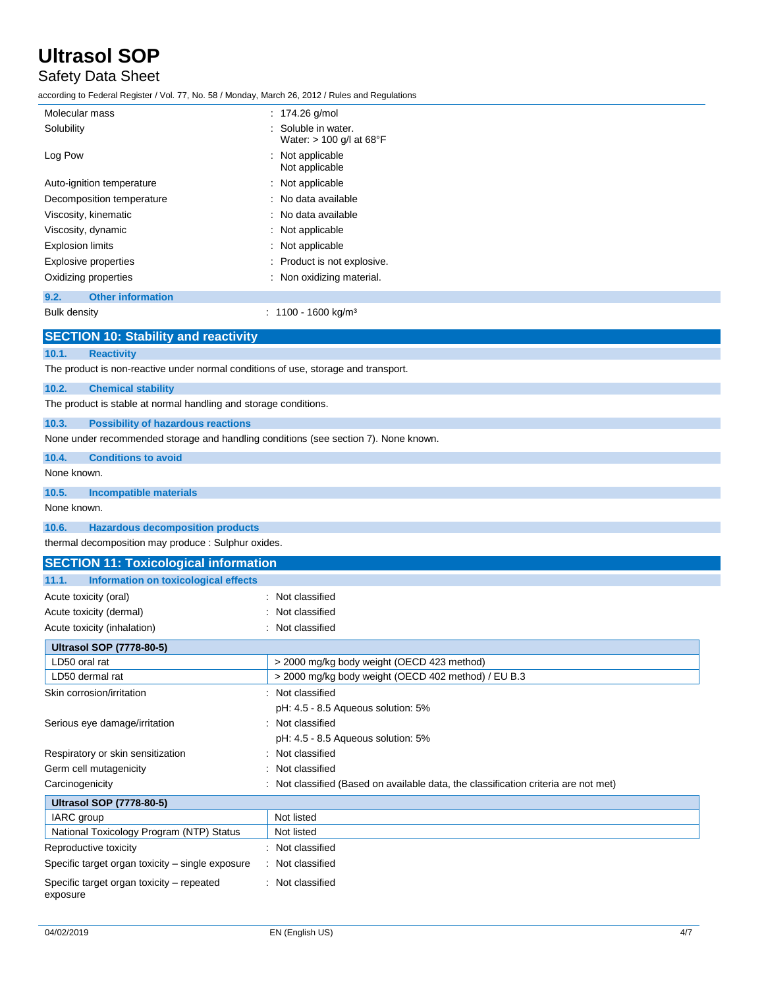## Safety Data Sheet

according to Federal Register / Vol. 77, No. 58 / Monday, March 26, 2012 / Rules and Regulations

| Molecular mass                                                                     | : $174.26$ g/mol                                |
|------------------------------------------------------------------------------------|-------------------------------------------------|
| Solubility                                                                         | Soluble in water.<br>Water: $> 100$ g/l at 68°F |
| Log Pow                                                                            | : Not applicable<br>Not applicable              |
| Auto-ignition temperature                                                          | : Not applicable                                |
| Decomposition temperature                                                          | : No data available                             |
| Viscosity, kinematic                                                               | : No data available                             |
| Viscosity, dynamic                                                                 | : Not applicable                                |
| <b>Explosion limits</b>                                                            | : Not applicable                                |
| <b>Explosive properties</b>                                                        | : Product is not explosive.                     |
| Oxidizing properties                                                               | : Non oxidizing material.                       |
| <b>Other information</b><br>9.2.                                                   |                                                 |
| <b>Bulk density</b>                                                                | $: 1100 - 1600$ kg/m <sup>3</sup>               |
| <b>SECTION 10: Stability and reactivity</b>                                        |                                                 |
| 10.1.<br><b>Reactivity</b>                                                         |                                                 |
| The product is non-reactive under normal conditions of use, storage and transport. |                                                 |
| 10.2.<br><b>Chemical stability</b>                                                 |                                                 |
| The product is stable at normal handling and storage conditions.                   |                                                 |
| 10.3.<br><b>Possibility of hazardous reactions</b>                                 |                                                 |

None under recommended storage and handling conditions (see section 7). None known.

**10.4. Conditions to avoid**

None known.

**10.5. Incompatible materials**

None known.

**10.6. Hazardous decomposition products**

thermal decomposition may produce : Sulphur oxides.

| <b>SECTION 11: Toxicological information</b>          |                                                                                     |
|-------------------------------------------------------|-------------------------------------------------------------------------------------|
| 11.1.<br>Information on toxicological effects         |                                                                                     |
| Acute toxicity (oral)                                 | : Not classified                                                                    |
| Acute toxicity (dermal)                               | Not classified                                                                      |
| Acute toxicity (inhalation)                           | : Not classified                                                                    |
| <b>Ultrasol SOP (7778-80-5)</b>                       |                                                                                     |
| LD50 oral rat                                         | > 2000 mg/kg body weight (OECD 423 method)                                          |
| LD50 dermal rat                                       | > 2000 mg/kg body weight (OECD 402 method) / EU B.3                                 |
| Skin corrosion/irritation                             | : Not classified                                                                    |
|                                                       | pH: 4.5 - 8.5 Aqueous solution: 5%                                                  |
| Serious eye damage/irritation                         | : Not classified                                                                    |
|                                                       | pH: 4.5 - 8.5 Aqueous solution: 5%                                                  |
| Respiratory or skin sensitization                     | Not classified                                                                      |
| Germ cell mutagenicity                                | Not classified                                                                      |
| Carcinogenicity                                       | : Not classified (Based on available data, the classification criteria are not met) |
| <b>Ultrasol SOP (7778-80-5)</b>                       |                                                                                     |
| <b>IARC</b> group                                     | Not listed                                                                          |
| National Toxicology Program (NTP) Status              | Not listed                                                                          |
| Reproductive toxicity                                 | : Not classified                                                                    |
| Specific target organ toxicity - single exposure      | : Not classified                                                                    |
| Specific target organ toxicity – repeated<br>exposure | : Not classified                                                                    |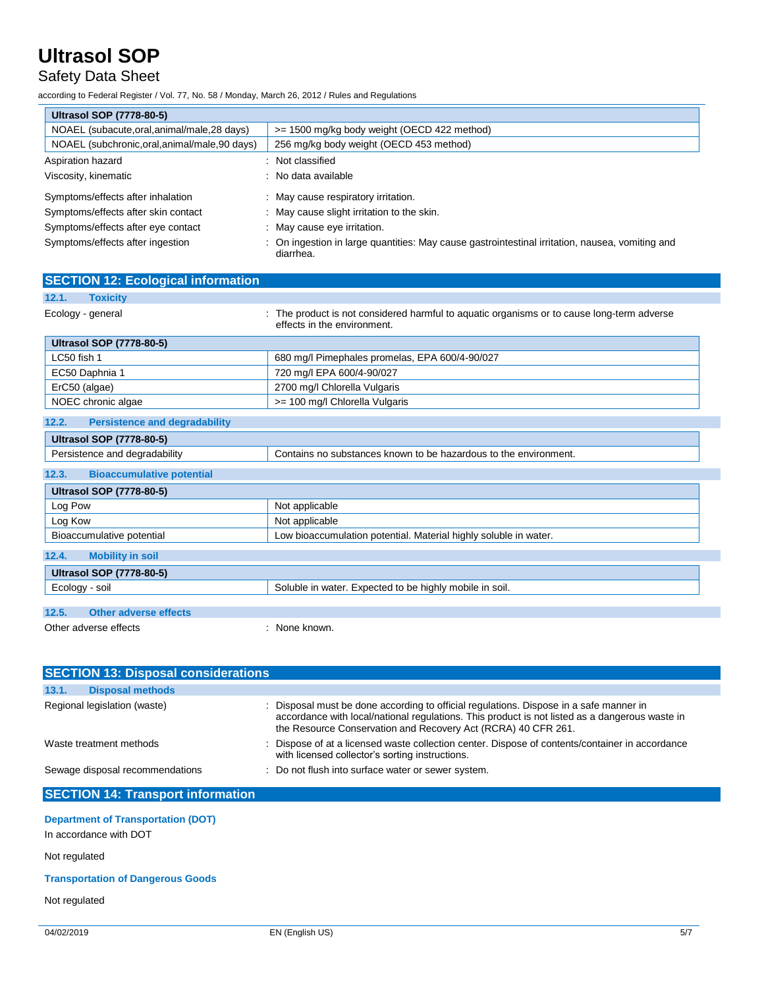## Safety Data Sheet

according to Federal Register / Vol. 77, No. 58 / Monday, March 26, 2012 / Rules and Regulations

| <b>Ultrasol SOP (7778-80-5)</b>                |                                                                                                            |
|------------------------------------------------|------------------------------------------------------------------------------------------------------------|
| NOAEL (subacute, oral, animal/male, 28 days)   | >= 1500 mg/kg body weight (OECD 422 method)                                                                |
| NOAEL (subchronic, oral, animal/male, 90 days) | 256 mg/kg body weight (OECD 453 method)                                                                    |
| Aspiration hazard                              | : Not classified                                                                                           |
| Viscosity, kinematic                           | : No data available                                                                                        |
| Symptoms/effects after inhalation              | : May cause respiratory irritation.                                                                        |
| Symptoms/effects after skin contact            | : May cause slight irritation to the skin.                                                                 |
| Symptoms/effects after eye contact             | : May cause eye irritation.                                                                                |
| Symptoms/effects after ingestion               | On ingestion in large quantities: May cause gastrointestinal irritation, nausea, vomiting and<br>diarrhea. |
| <b>SECTION 12: Ecological information</b>      |                                                                                                            |
| 12.1.<br>Toxicity                              |                                                                                                            |

|                                 | effects in the environment.                    |
|---------------------------------|------------------------------------------------|
| <b>Ultrasol SOP (7778-80-5)</b> |                                                |
| LC50 fish 1                     | 680 mg/l Pimephales promelas, EPA 600/4-90/027 |
| EC50 Daphnia 1                  | 720 mg/l EPA 600/4-90/027                      |
| ErC50 (algae)                   | 2700 mg/l Chlorella Vulgaris                   |
| NOEC chronic algae              | >= 100 mg/l Chlorella Vulgaris                 |

Ecology - general states of the product is not considered harmful to aquatic organisms or to cause long-term adverse

| 12.2.<br><b>Persistence and degradability</b> |                                                                  |
|-----------------------------------------------|------------------------------------------------------------------|
| <b>Ultrasol SOP (7778-80-5)</b>               |                                                                  |
| Persistence and degradability                 | Contains no substances known to be hazardous to the environment. |
| <b>Bioaccumulative potential</b><br>12.3.     |                                                                  |
| <b>Ultrasol SOP (7778-80-5)</b>               |                                                                  |
| Log Pow                                       | Not applicable                                                   |
| Log Kow                                       | Not applicable                                                   |
| Bioaccumulative potential                     | Low bioaccumulation potential. Material highly soluble in water. |
| 12.4.<br><b>Mobility in soil</b>              |                                                                  |
| <b>Ultrasol SOP (7778-80-5)</b>               |                                                                  |
| Ecology - soil                                | Soluble in water. Expected to be highly mobile in soil.          |

|                       | ----                  |             |  |
|-----------------------|-----------------------|-------------|--|
|                       |                       |             |  |
| 12.5.                 | Other adverse effects |             |  |
| Other adverse effects |                       | None known. |  |

| <b>SECTION 13: Disposal considerations</b> |                                                                                                                                                                                                                                                           |  |  |  |
|--------------------------------------------|-----------------------------------------------------------------------------------------------------------------------------------------------------------------------------------------------------------------------------------------------------------|--|--|--|
| 13.1.<br><b>Disposal methods</b>           |                                                                                                                                                                                                                                                           |  |  |  |
| Regional legislation (waste)               | : Disposal must be done according to official regulations. Dispose in a safe manner in<br>accordance with local/national regulations. This product is not listed as a dangerous waste in<br>the Resource Conservation and Recovery Act (RCRA) 40 CFR 261. |  |  |  |
| Waste treatment methods                    | : Dispose of at a licensed waste collection center. Dispose of contents/container in accordance<br>with licensed collector's sorting instructions.                                                                                                        |  |  |  |
| Sewage disposal recommendations            | : Do not flush into surface water or sewer system.                                                                                                                                                                                                        |  |  |  |
| <b>SECTION 14: Transport information</b>   |                                                                                                                                                                                                                                                           |  |  |  |

### **Department of Transportation (DOT)**

In accordance with DOT

Not regulated

### **Transportation of Dangerous Goods**

Not regulated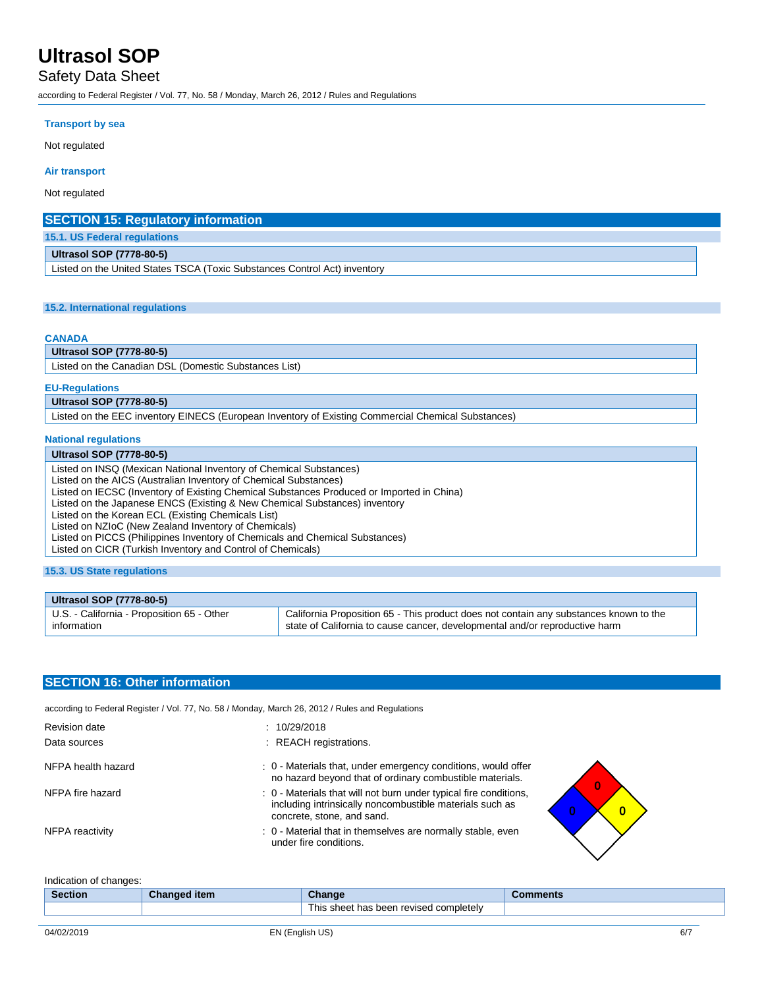### Safety Data Sheet

according to Federal Register / Vol. 77, No. 58 / Monday, March 26, 2012 / Rules and Regulations

#### **Transport by sea**

Not regulated

#### **Air transport**

Not regulated

| <b>SECTION 15: Regulatory information</b>                                 |  |  |
|---------------------------------------------------------------------------|--|--|
| 15.1. US Federal regulations                                              |  |  |
| <b>Ultrasol SOP (7778-80-5)</b>                                           |  |  |
| Listed on the United States TSCA (Toxic Substances Control Act) inventory |  |  |

### **15.2. International regulations**

#### **CANADA**

**Ultrasol SOP (7778-80-5)**

Listed on the Canadian DSL (Domestic Substances List)

#### **EU-Regulations**

**Ultrasol SOP (7778-80-5)**

Listed on the EEC inventory EINECS (European Inventory of Existing Commercial Chemical Substances)

#### **National regulations**

#### **Ultrasol SOP (7778-80-5)**

Listed on INSQ (Mexican National Inventory of Chemical Substances) Listed on the AICS (Australian Inventory of Chemical Substances) Listed on IECSC (Inventory of Existing Chemical Substances Produced or Imported in China) Listed on the Japanese ENCS (Existing & New Chemical Substances) inventory Listed on the Korean ECL (Existing Chemicals List) Listed on NZIoC (New Zealand Inventory of Chemicals) Listed on PICCS (Philippines Inventory of Chemicals and Chemical Substances) Listed on CICR (Turkish Inventory and Control of Chemicals)

### **15.3. US State regulations**

| Ultrasol SOP (7778-80-5)                   |                                                                                       |  |  |
|--------------------------------------------|---------------------------------------------------------------------------------------|--|--|
| U.S. - California - Proposition 65 - Other | California Proposition 65 - This product does not contain any substances known to the |  |  |
| information                                | state of California to cause cancer, developmental and/or reproductive harm           |  |  |

### **SECTION 16: Other information**

according to Federal Register / Vol. 77, No. 58 / Monday, March 26, 2012 / Rules and Regulations

| <b>Revision date</b> | 10/29/2018                                                                                                                                                  |
|----------------------|-------------------------------------------------------------------------------------------------------------------------------------------------------------|
| Data sources         | : REACH registrations.                                                                                                                                      |
| NFPA health hazard   | : 0 - Materials that, under emergency conditions, would offer<br>no hazard beyond that of ordinary combustible materials.<br>$\bf{0}$                       |
| NFPA fire hazard     | : 0 - Materials that will not burn under typical fire conditions,<br>including intrinsically noncombustible materials such as<br>concrete, stone, and sand. |
| NFPA reactivity      | : 0 - Material that in themselves are normally stable, even<br>under fire conditions.                                                                       |

Indication of changes:

| <b>Section</b> | Changed item | Change                                         | nments |
|----------------|--------------|------------------------------------------------|--------|
|                |              | s been revised completelv.<br>his<br>sheet has |        |
|                |              |                                                |        |